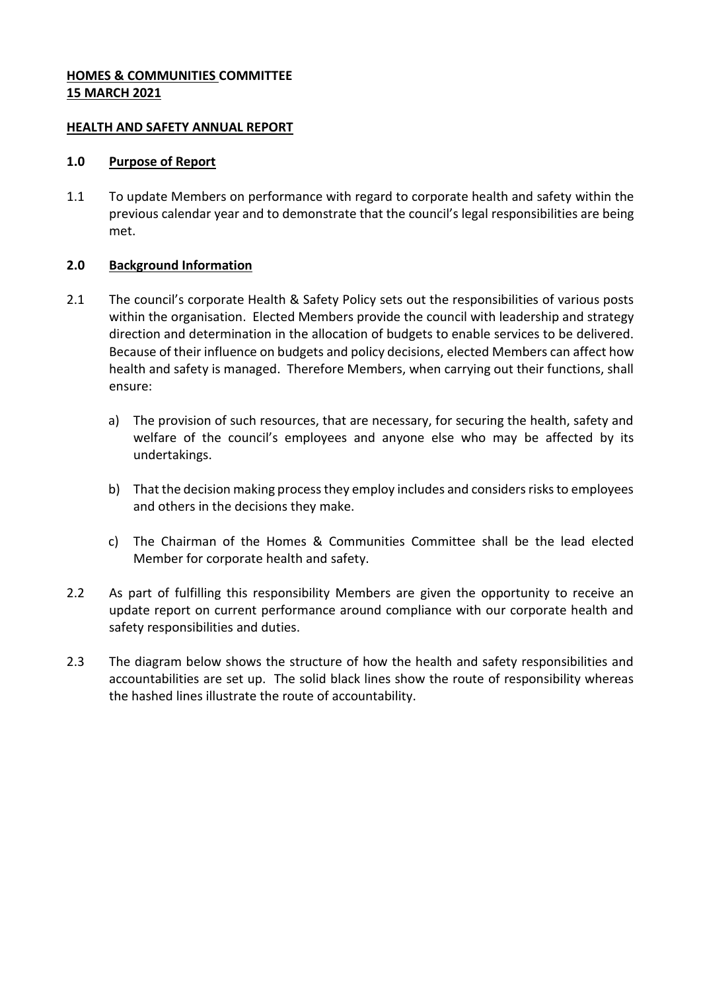### **HOMES & COMMUNITIES COMMITTEE 15 MARCH 2021**

### **HEALTH AND SAFETY ANNUAL REPORT**

### **1.0 Purpose of Report**

1.1 To update Members on performance with regard to corporate health and safety within the previous calendar year and to demonstrate that the council's legal responsibilities are being met.

# **2.0 Background Information**

- 2.1 The council's corporate Health & Safety Policy sets out the responsibilities of various posts within the organisation. Elected Members provide the council with leadership and strategy direction and determination in the allocation of budgets to enable services to be delivered. Because of their influence on budgets and policy decisions, elected Members can affect how health and safety is managed. Therefore Members, when carrying out their functions, shall ensure:
	- a) The provision of such resources, that are necessary, for securing the health, safety and welfare of the council's employees and anyone else who may be affected by its undertakings.
	- b) That the decision making process they employ includes and considers risks to employees and others in the decisions they make.
	- c) The Chairman of the Homes & Communities Committee shall be the lead elected Member for corporate health and safety.
- 2.2 As part of fulfilling this responsibility Members are given the opportunity to receive an update report on current performance around compliance with our corporate health and safety responsibilities and duties.
- 2.3 The diagram below shows the structure of how the health and safety responsibilities and accountabilities are set up. The solid black lines show the route of responsibility whereas the hashed lines illustrate the route of accountability.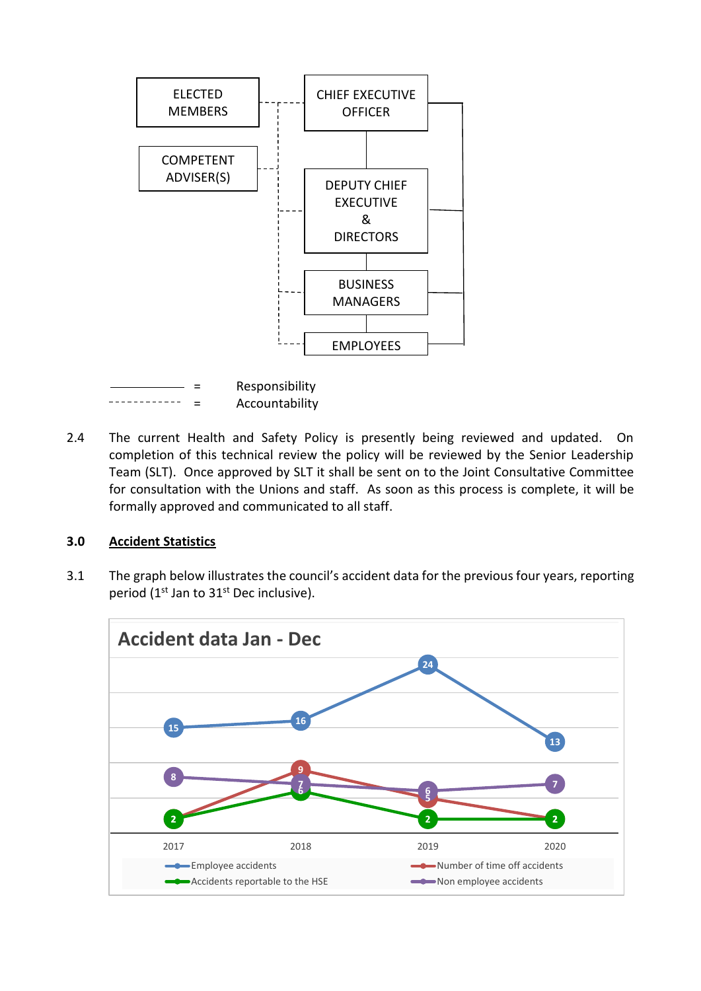

2.4 The current Health and Safety Policy is presently being reviewed and updated. On completion of this technical review the policy will be reviewed by the Senior Leadership Team (SLT). Once approved by SLT it shall be sent on to the Joint Consultative Committee for consultation with the Unions and staff. As soon as this process is complete, it will be formally approved and communicated to all staff.

### **3.0 Accident Statistics**

3.1 The graph below illustrates the council's accident data for the previous four years, reporting period (1<sup>st</sup> Jan to 31<sup>st</sup> Dec inclusive).

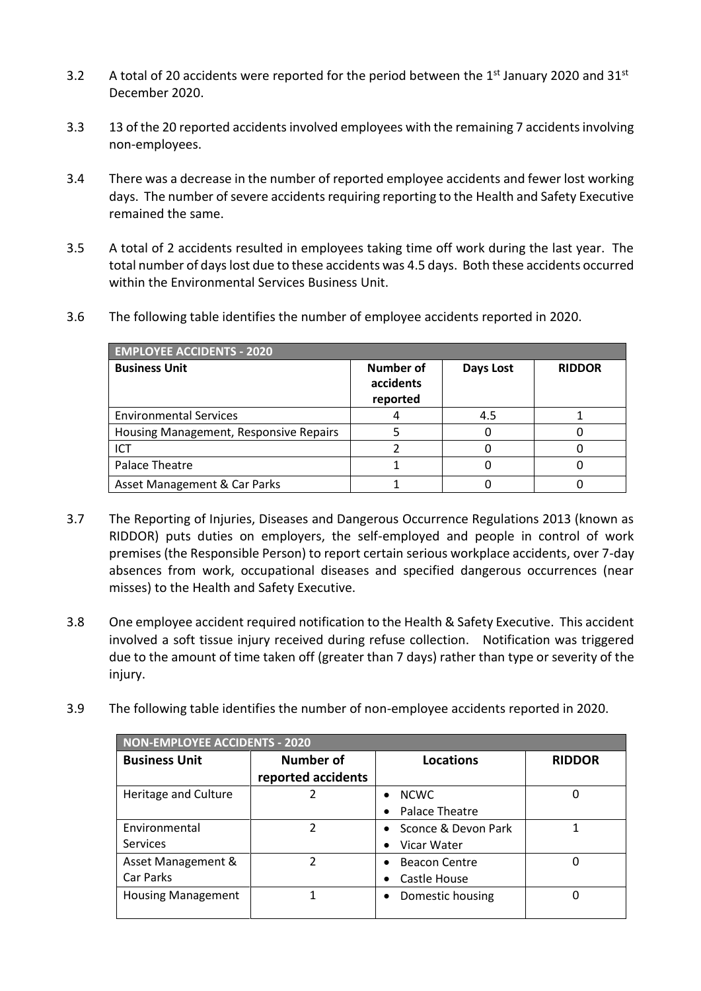- 3.2 A total of 20 accidents were reported for the period between the  $1<sup>st</sup>$  January 2020 and 31 $<sup>st</sup>$ </sup> December 2020.
- 3.3 13 of the 20 reported accidents involved employees with the remaining 7 accidents involving non-employees.
- 3.4 There was a decrease in the number of reported employee accidents and fewer lost working days. The number of severe accidents requiring reporting to the Health and Safety Executive remained the same.
- 3.5 A total of 2 accidents resulted in employees taking time off work during the last year. The total number of days lost due to these accidents was 4.5 days. Both these accidents occurred within the Environmental Services Business Unit.
- 3.6 The following table identifies the number of employee accidents reported in 2020.

| <b>EMPLOYEE ACCIDENTS - 2020</b>       |                                    |           |               |  |  |  |
|----------------------------------------|------------------------------------|-----------|---------------|--|--|--|
| <b>Business Unit</b>                   | Number of<br>accidents<br>reported | Days Lost | <b>RIDDOR</b> |  |  |  |
| <b>Environmental Services</b>          |                                    | 4.5       |               |  |  |  |
| Housing Management, Responsive Repairs |                                    |           |               |  |  |  |
| <b>ICT</b>                             |                                    |           |               |  |  |  |
| Palace Theatre                         |                                    |           |               |  |  |  |
| Asset Management & Car Parks           |                                    |           |               |  |  |  |

- 3.7 The Reporting of Injuries, Diseases and Dangerous Occurrence Regulations 2013 (known as RIDDOR) puts duties on employers, the self-employed and people in control of work premises (the Responsible Person) to report certain serious workplace accidents, over 7-day absences from work, occupational diseases and specified dangerous occurrences (near misses) to the Health and Safety Executive.
- 3.8 One employee accident required notification to the Health & Safety Executive. This accident involved a soft tissue injury received during refuse collection. Notification was triggered due to the amount of time taken off (greater than 7 days) rather than type or severity of the injury.
- 3.9 The following table identifies the number of non-employee accidents reported in 2020.

| <b>NON-EMPLOYEE ACCIDENTS - 2020</b> |                    |                                   |               |  |  |  |
|--------------------------------------|--------------------|-----------------------------------|---------------|--|--|--|
| <b>Business Unit</b>                 | <b>Number of</b>   | Locations                         | <b>RIDDOR</b> |  |  |  |
|                                      | reported accidents |                                   |               |  |  |  |
| Heritage and Culture                 |                    | <b>NCWC</b><br>$\bullet$          | 0             |  |  |  |
|                                      |                    | Palace Theatre<br>$\bullet$       |               |  |  |  |
| Environmental                        | 2                  | Sconce & Devon Park<br>$\bullet$  |               |  |  |  |
| <b>Services</b>                      |                    | Vicar Water<br>$\bullet$          |               |  |  |  |
| Asset Management &                   | 2                  | <b>Beacon Centre</b><br>$\bullet$ |               |  |  |  |
| Car Parks                            |                    | Castle House<br>$\bullet$         |               |  |  |  |
| <b>Housing Management</b>            |                    | Domestic housing<br>٠             | 0             |  |  |  |
|                                      |                    |                                   |               |  |  |  |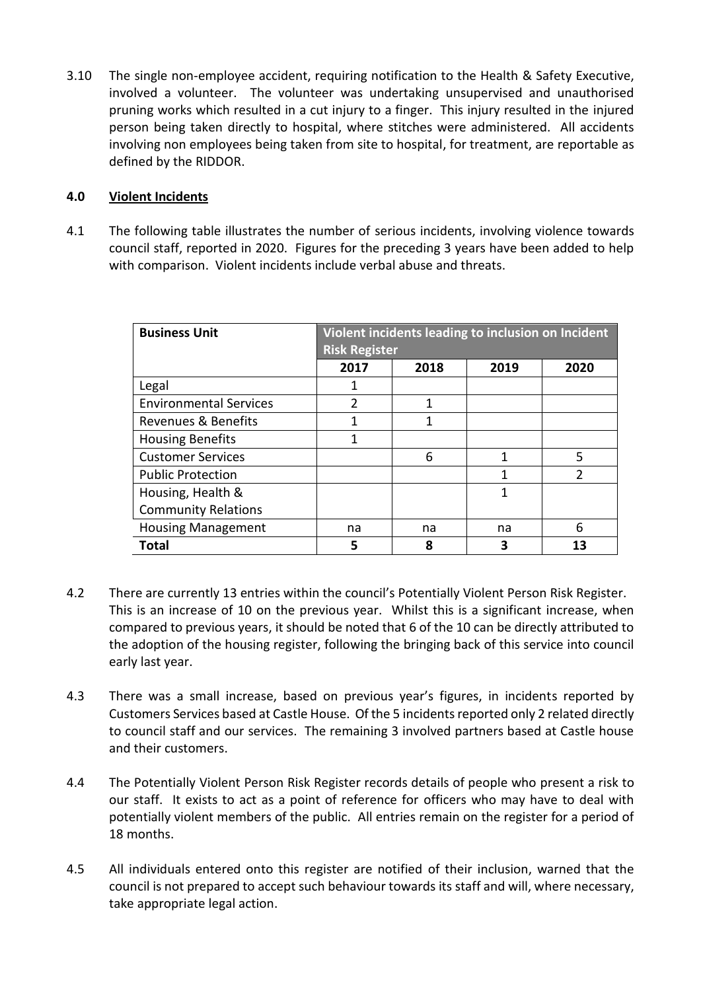3.10 The single non-employee accident, requiring notification to the Health & Safety Executive, involved a volunteer. The volunteer was undertaking unsupervised and unauthorised pruning works which resulted in a cut injury to a finger. This injury resulted in the injured person being taken directly to hospital, where stitches were administered. All accidents involving non employees being taken from site to hospital, for treatment, are reportable as defined by the RIDDOR.

# **4.0 Violent Incidents**

4.1 The following table illustrates the number of serious incidents, involving violence towards council staff, reported in 2020. Figures for the preceding 3 years have been added to help with comparison. Violent incidents include verbal abuse and threats.

| <b>Business Unit</b>          | Violent incidents leading to inclusion on Incident<br><b>Risk Register</b> |      |      |               |  |
|-------------------------------|----------------------------------------------------------------------------|------|------|---------------|--|
|                               | 2017                                                                       | 2018 | 2019 | 2020          |  |
| Legal                         | 1                                                                          |      |      |               |  |
| <b>Environmental Services</b> | 2                                                                          | 1    |      |               |  |
| Revenues & Benefits           | 1                                                                          | 1    |      |               |  |
| <b>Housing Benefits</b>       | 1                                                                          |      |      |               |  |
| <b>Customer Services</b>      |                                                                            | 6    | 1    | 5             |  |
| <b>Public Protection</b>      |                                                                            |      | 1    | $\mathcal{P}$ |  |
| Housing, Health &             |                                                                            |      | 1    |               |  |
| <b>Community Relations</b>    |                                                                            |      |      |               |  |
| <b>Housing Management</b>     | na                                                                         | na   | na   | 6             |  |
| Total                         | 5                                                                          | 8    | 3    | 13            |  |

- 4.2 There are currently 13 entries within the council's Potentially Violent Person Risk Register. This is an increase of 10 on the previous year. Whilst this is a significant increase, when compared to previous years, it should be noted that 6 of the 10 can be directly attributed to the adoption of the housing register, following the bringing back of this service into council early last year.
- 4.3 There was a small increase, based on previous year's figures, in incidents reported by Customers Services based at Castle House. Of the 5 incidents reported only 2 related directly to council staff and our services. The remaining 3 involved partners based at Castle house and their customers.
- 4.4 The Potentially Violent Person Risk Register records details of people who present a risk to our staff. It exists to act as a point of reference for officers who may have to deal with potentially violent members of the public. All entries remain on the register for a period of 18 months.
- 4.5 All individuals entered onto this register are notified of their inclusion, warned that the council is not prepared to accept such behaviour towards its staff and will, where necessary, take appropriate legal action.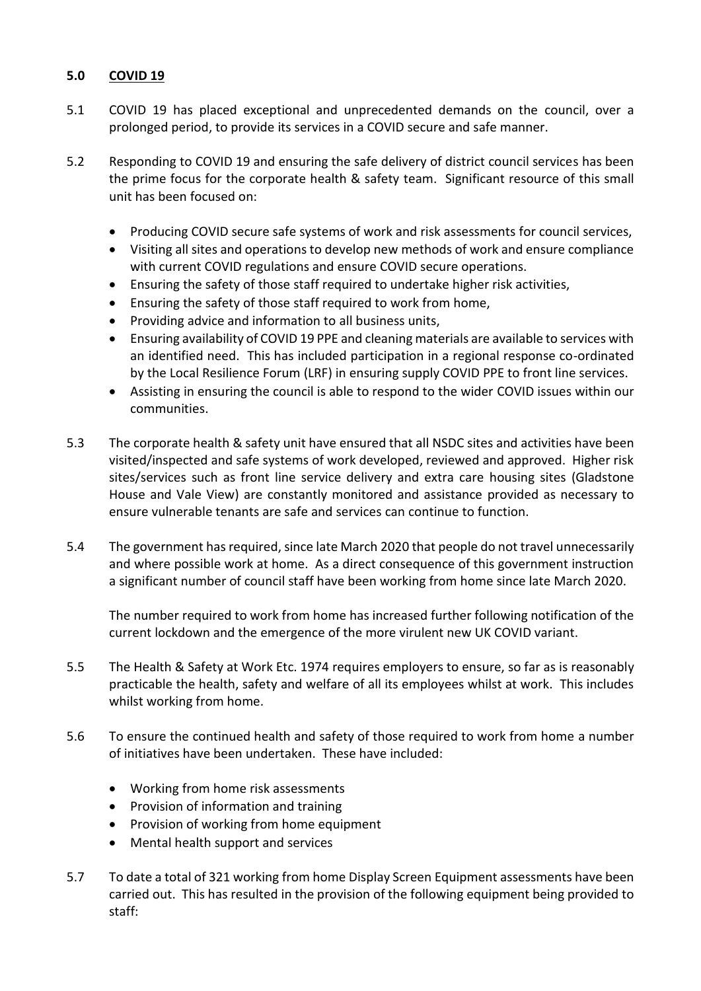# **5.0 COVID 19**

- 5.1 COVID 19 has placed exceptional and unprecedented demands on the council, over a prolonged period, to provide its services in a COVID secure and safe manner.
- 5.2 Responding to COVID 19 and ensuring the safe delivery of district council services has been the prime focus for the corporate health & safety team. Significant resource of this small unit has been focused on:
	- Producing COVID secure safe systems of work and risk assessments for council services,
	- Visiting all sites and operations to develop new methods of work and ensure compliance with current COVID regulations and ensure COVID secure operations.
	- Ensuring the safety of those staff required to undertake higher risk activities,
	- Ensuring the safety of those staff required to work from home,
	- Providing advice and information to all business units,
	- Ensuring availability of COVID 19 PPE and cleaning materials are available to services with an identified need. This has included participation in a regional response co-ordinated by the Local Resilience Forum (LRF) in ensuring supply COVID PPE to front line services.
	- Assisting in ensuring the council is able to respond to the wider COVID issues within our communities.
- 5.3 The corporate health & safety unit have ensured that all NSDC sites and activities have been visited/inspected and safe systems of work developed, reviewed and approved. Higher risk sites/services such as front line service delivery and extra care housing sites (Gladstone House and Vale View) are constantly monitored and assistance provided as necessary to ensure vulnerable tenants are safe and services can continue to function.
- 5.4 The government has required, since late March 2020 that people do not travel unnecessarily and where possible work at home. As a direct consequence of this government instruction a significant number of council staff have been working from home since late March 2020.

The number required to work from home has increased further following notification of the current lockdown and the emergence of the more virulent new UK COVID variant.

- 5.5 The Health & Safety at Work Etc. 1974 requires employers to ensure, so far as is reasonably practicable the health, safety and welfare of all its employees whilst at work. This includes whilst working from home.
- 5.6 To ensure the continued health and safety of those required to work from home a number of initiatives have been undertaken. These have included:
	- Working from home risk assessments
	- Provision of information and training
	- Provision of working from home equipment
	- Mental health support and services
- 5.7 To date a total of 321 working from home Display Screen Equipment assessments have been carried out. This has resulted in the provision of the following equipment being provided to staff: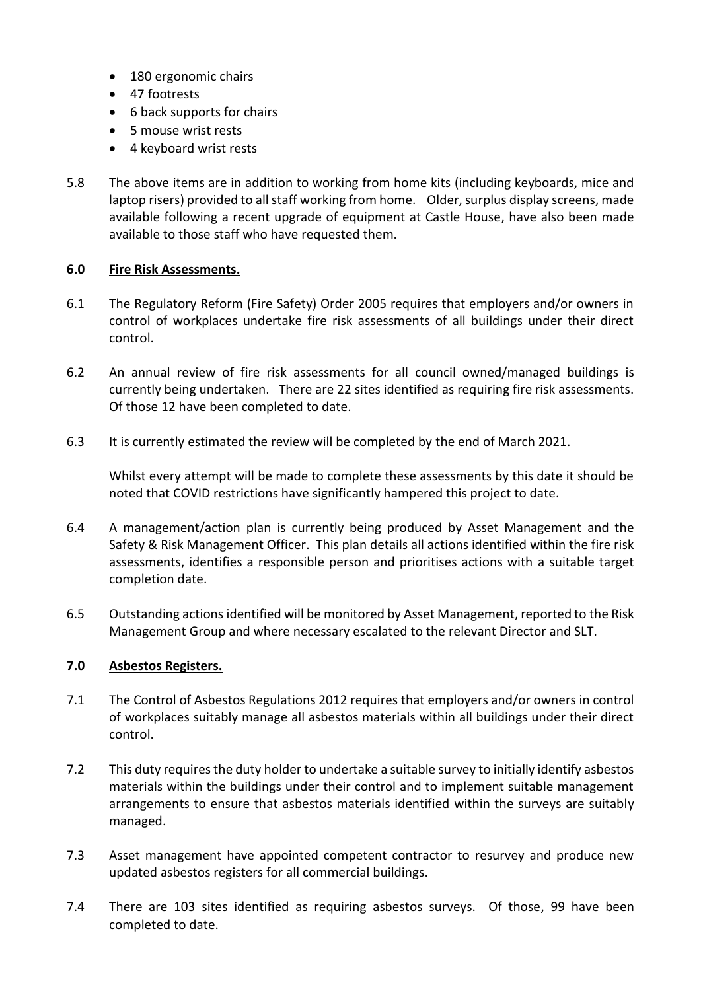- 180 ergonomic chairs
- 47 footrests
- 6 back supports for chairs
- 5 mouse wrist rests
- 4 keyboard wrist rests
- 5.8 The above items are in addition to working from home kits (including keyboards, mice and laptop risers) provided to all staff working from home. Older, surplus display screens, made available following a recent upgrade of equipment at Castle House, have also been made available to those staff who have requested them.

# **6.0 Fire Risk Assessments.**

- 6.1 The Regulatory Reform (Fire Safety) Order 2005 requires that employers and/or owners in control of workplaces undertake fire risk assessments of all buildings under their direct control.
- 6.2 An annual review of fire risk assessments for all council owned/managed buildings is currently being undertaken. There are 22 sites identified as requiring fire risk assessments. Of those 12 have been completed to date.
- 6.3 It is currently estimated the review will be completed by the end of March 2021.

Whilst every attempt will be made to complete these assessments by this date it should be noted that COVID restrictions have significantly hampered this project to date.

- 6.4 A management/action plan is currently being produced by Asset Management and the Safety & Risk Management Officer. This plan details all actions identified within the fire risk assessments, identifies a responsible person and prioritises actions with a suitable target completion date.
- 6.5 Outstanding actions identified will be monitored by Asset Management, reported to the Risk Management Group and where necessary escalated to the relevant Director and SLT.

### **7.0 Asbestos Registers.**

- 7.1 The Control of Asbestos Regulations 2012 requires that employers and/or owners in control of workplaces suitably manage all asbestos materials within all buildings under their direct control.
- 7.2 This duty requires the duty holder to undertake a suitable survey to initially identify asbestos materials within the buildings under their control and to implement suitable management arrangements to ensure that asbestos materials identified within the surveys are suitably managed.
- 7.3 Asset management have appointed competent contractor to resurvey and produce new updated asbestos registers for all commercial buildings.
- 7.4 There are 103 sites identified as requiring asbestos surveys. Of those, 99 have been completed to date.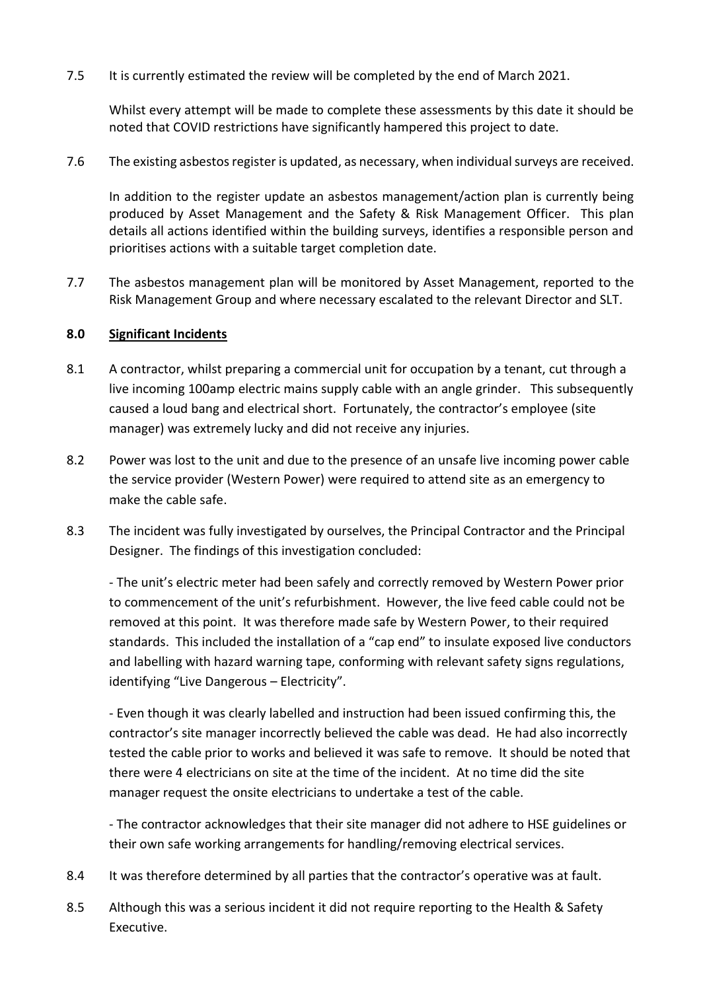7.5 It is currently estimated the review will be completed by the end of March 2021.

Whilst every attempt will be made to complete these assessments by this date it should be noted that COVID restrictions have significantly hampered this project to date.

7.6 The existing asbestos register is updated, as necessary, when individual surveys are received.

In addition to the register update an asbestos management/action plan is currently being produced by Asset Management and the Safety & Risk Management Officer. This plan details all actions identified within the building surveys, identifies a responsible person and prioritises actions with a suitable target completion date.

7.7 The asbestos management plan will be monitored by Asset Management, reported to the Risk Management Group and where necessary escalated to the relevant Director and SLT.

### **8.0 Significant Incidents**

- 8.1 A contractor, whilst preparing a commercial unit for occupation by a tenant, cut through a live incoming 100amp electric mains supply cable with an angle grinder. This subsequently caused a loud bang and electrical short. Fortunately, the contractor's employee (site manager) was extremely lucky and did not receive any injuries.
- 8.2 Power was lost to the unit and due to the presence of an unsafe live incoming power cable the service provider (Western Power) were required to attend site as an emergency to make the cable safe.
- 8.3 The incident was fully investigated by ourselves, the Principal Contractor and the Principal Designer. The findings of this investigation concluded:

- The unit's electric meter had been safely and correctly removed by Western Power prior to commencement of the unit's refurbishment. However, the live feed cable could not be removed at this point. It was therefore made safe by Western Power, to their required standards. This included the installation of a "cap end" to insulate exposed live conductors and labelling with hazard warning tape, conforming with relevant safety signs regulations, identifying "Live Dangerous – Electricity".

- Even though it was clearly labelled and instruction had been issued confirming this, the contractor's site manager incorrectly believed the cable was dead. He had also incorrectly tested the cable prior to works and believed it was safe to remove. It should be noted that there were 4 electricians on site at the time of the incident. At no time did the site manager request the onsite electricians to undertake a test of the cable.

- The contractor acknowledges that their site manager did not adhere to HSE guidelines or their own safe working arrangements for handling/removing electrical services.

- 8.4 It was therefore determined by all parties that the contractor's operative was at fault.
- 8.5 Although this was a serious incident it did not require reporting to the Health & Safety Executive.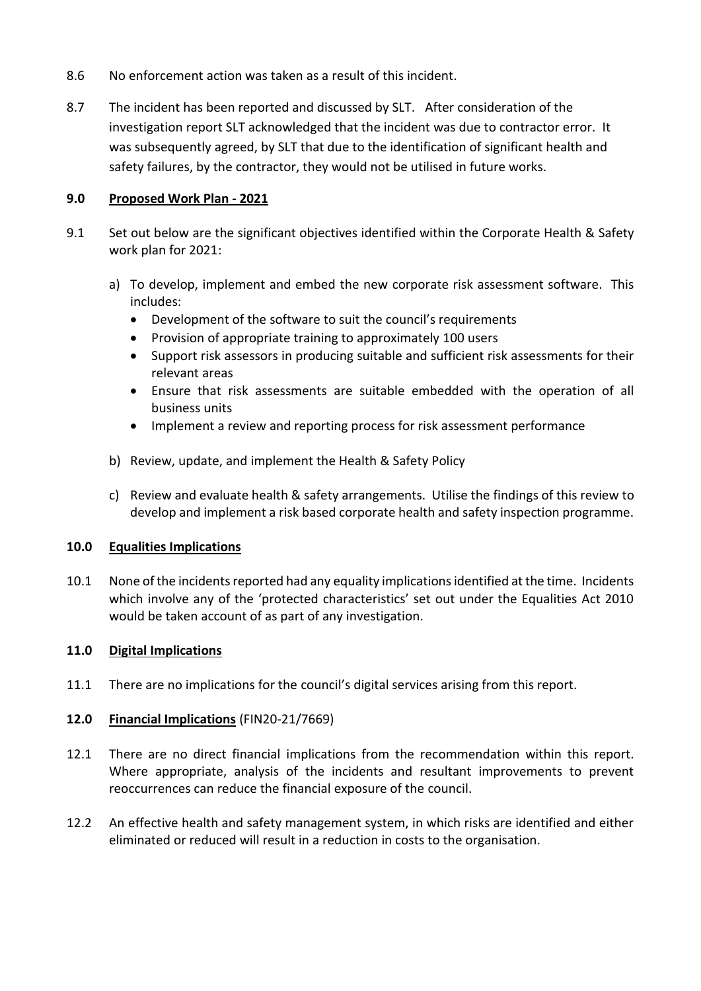- 8.6 No enforcement action was taken as a result of this incident.
- 8.7 The incident has been reported and discussed by SLT. After consideration of the investigation report SLT acknowledged that the incident was due to contractor error. It was subsequently agreed, by SLT that due to the identification of significant health and safety failures, by the contractor, they would not be utilised in future works.

### **9.0 Proposed Work Plan - 2021**

- 9.1 Set out below are the significant objectives identified within the Corporate Health & Safety work plan for 2021:
	- a) To develop, implement and embed the new corporate risk assessment software. This includes:
		- Development of the software to suit the council's requirements
		- Provision of appropriate training to approximately 100 users
		- Support risk assessors in producing suitable and sufficient risk assessments for their relevant areas
		- Ensure that risk assessments are suitable embedded with the operation of all business units
		- Implement a review and reporting process for risk assessment performance
	- b) Review, update, and implement the Health & Safety Policy
	- c) Review and evaluate health & safety arrangements. Utilise the findings of this review to develop and implement a risk based corporate health and safety inspection programme.

### **10.0 Equalities Implications**

10.1 None of the incidents reported had any equality implications identified at the time. Incidents which involve any of the 'protected characteristics' set out under the Equalities Act 2010 would be taken account of as part of any investigation.

# **11.0 Digital Implications**

11.1 There are no implications for the council's digital services arising from this report.

# **12.0 Financial Implications** (FIN20-21/7669)

- 12.1 There are no direct financial implications from the recommendation within this report. Where appropriate, analysis of the incidents and resultant improvements to prevent reoccurrences can reduce the financial exposure of the council.
- 12.2 An effective health and safety management system, in which risks are identified and either eliminated or reduced will result in a reduction in costs to the organisation.